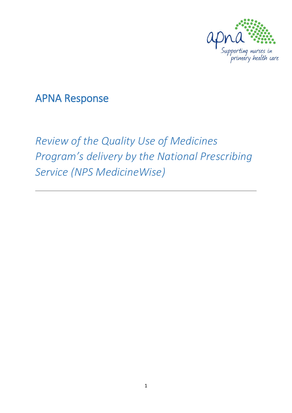

# APNA Response

# *Review of the Quality Use of Medicines Program's delivery by the National Prescribing Service (NPS MedicineWise)*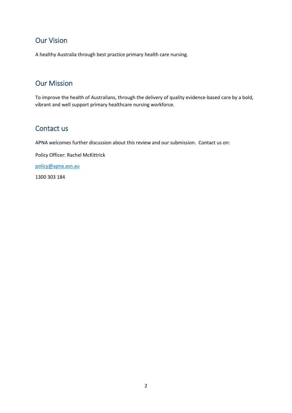## Our Vision

A healthy Australia through best practice primary health care nursing.

## Our Mission

To improve the health of Australians, through the delivery of quality evidence-based care by a bold, vibrant and well support primary healthcare nursing workforce.

## Contact us

APNA welcomes further discussion about this review and our submission. Contact us on:

Policy Officer: Rachel McKittrick

[policy@apna.asn.au](mailto:policy@apna.asn.au)

1300 303 184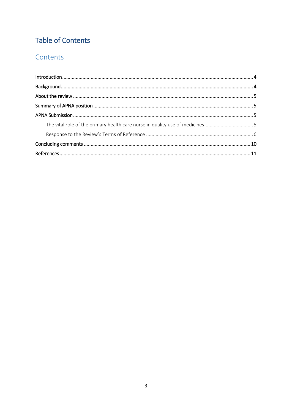# **Table of Contents**

## Contents

| The vital role of the primary health care nurse in quality use of medicines5 |  |
|------------------------------------------------------------------------------|--|
|                                                                              |  |
|                                                                              |  |
|                                                                              |  |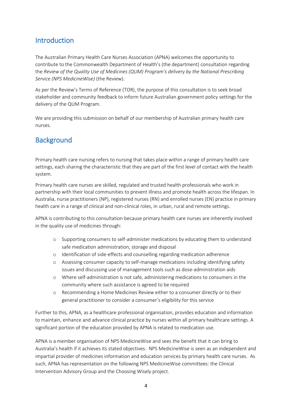## <span id="page-3-0"></span>**Introduction**

The Australian Primary Health Care Nurses Association (APNA) welcomes the opportunity to contribute to the Commonwealth Department of Health's (the department) consultation regarding the *Review of the Quality Use of Medicines (QUM) Program's delivery by the National Prescribing Service (NPS MedicineWise)* (the Review).

As per the Review's Terms of Reference (TOR), the purpose of this consultation is to seek broad stakeholder and community feedback to inform future Australian government policy settings for the delivery of the QUM Program.

We are providing this submission on behalf of our membership of Australian primary health care nurses.

# <span id="page-3-1"></span>**Background**

Primary health care nursing refers to nursing that takes place within a range of primary health care settings, each sharing the characteristic that they are part of the first level of contact with the health system.

Primary health care nurses are skilled, regulated and trusted health professionals who work in partnership with their local communities to prevent illness and promote health across the lifespan. In Australia, nurse practitioners (NP), registered nurses (RN) and enrolled nurses (EN) practice in primary health care in a range of clinical and non-clinical roles, in urban, rural and remote settings.

APNA is contributing to this consultation because primary health care nurses are inherently involved in the quality use of medicines through:

- o Supporting consumers to self-administer medications by educating them to understand safe medication administration, storage and disposal
- o Identification of side-effects and counselling regarding medication adherence
- o Assessing consumer capacity to self-manage medications including identifying safety issues and discussing use of management tools such as dose-administration aids
- o Where self-administration is not safe, administering medications to consumers in the community where such assistance is agreed to be required
- o Recommending a Home Medicines Review either to a consumer directly or to their general practitioner to consider a consumer's eligibility for this service

Further to this, APNA, as a healthcare professional organisation, provides education and information to maintain, enhance and advance clinical practice by nurses within all primary healthcare settings. A significant portion of the education provided by APNA is related to medication use.

APNA is a member organisation of NPS MedicineWise and sees the benefit that it can bring to Australia's health if it achieves its stated objectives. NPS MedicineWise is seen as an independent and impartial provider of medicines information and education services by primary health care nurses. As such, APNA has representation on the following NPS MedicineWise committees: the Clinical Intervention Advisory Group and the Choosing Wisely project.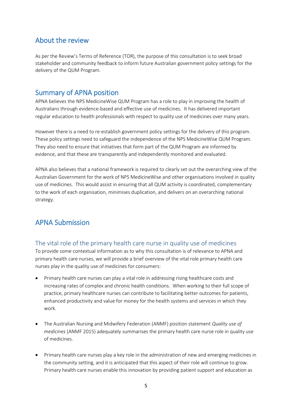## <span id="page-4-0"></span>About the review

As per the Review's Terms of Reference (TOR), the purpose of this consultation is to seek broad stakeholder and community feedback to inform future Australian government policy settings for the delivery of the QUM Program.

## <span id="page-4-1"></span>Summary of APNA position

APNA believes the NPS MedicineWise QUM Program has a role to play in improving the health of Australians through evidence-based and effective use of medicines. It has delivered important regular education to health professionals with respect to quality use of medicines over many years.

However there is a need to re-establish government policy settings for the delivery of this program. These policy settings need to safeguard the independence of the NPS MedicineWise QUM Program. They also need to ensure that initiatives that form part of the QUM Program are informed by evidence, and that these are transparently and independently monitored and evaluated.

APNA also believes that a national framework is required to clearly set out the overarching view of the Australian Government for the work of NPS MedicineWise and other organisations involved in quality use of medicines. This would assist in ensuring that all QUM activity is coordinated, complementary to the work of each organisation, minimises duplication, and delivers on an overarching national strategy.

## <span id="page-4-3"></span><span id="page-4-2"></span>APNA Submission

## The vital role of the primary health care nurse in quality use of medicines

To provide some contextual information as to why this consultation is of relevance to APNA and primary health care nurses, we will provide a brief overview of the vital role primary health care nurses play in the quality use of medicines for consumers:

- Primary health care nurses can play a vital role in addressing rising healthcare costs and increasing rates of complex and chronic health conditions. When working to their full scope of practice, primary healthcare nurses can contribute to facilitating better outcomes for patients, enhanced productivity and value for money for the health systems and services in which they work.
- The Australian Nursing and Midwifery Federation (ANMF) position statement *Quality use of medicines* (ANMF 2015) adequately summarises the primary health care nurse role in quality use of medicines.
- Primary health care nurses play a key role in the administration of new and emerging medicines in the community setting, and it is anticipated that this aspect of their role will continue to grow. Primary health care nurses enable this innovation by providing patient support and education as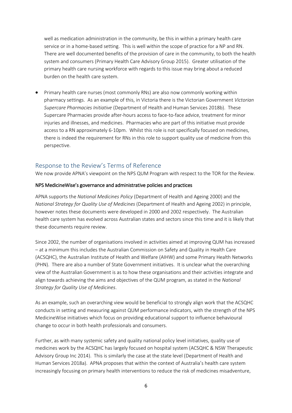well as medication administration in the community, be this in within a primary health care service or in a home-based setting. This is well within the scope of practice for a NP and RN. There are well documented benefits of the provision of care in the community, to both the health system and consumers (Primary Health Care Advisory Group 2015). Greater utilisation of the primary health care nursing workforce with regards to this issue may bring about a reduced burden on the health care system.

 Primary health care nurses (most commonly RNs) are also now commonly working within pharmacy settings. As an example of this, in Victoria there is the Victorian Government *Victorian Supercare Pharmacies Initiative* (Department of Health and Human Services 2018b). These Supercare Pharmacies provide after-hours access to face-to-face advice, treatment for minor injuries and illnesses, and medicines. Pharmacies who are part of this initiative must provide access to a RN approximately 6-10pm. Whilst this role is not specifically focused on medicines, there is indeed the requirement for RNs in this role to support quality use of medicine from this perspective.

## <span id="page-5-0"></span>Response to the Review's Terms of Reference

We now provide APNA's viewpoint on the NPS QUM Program with respect to the TOR for the Review.

#### NPS MedicineWise's governance and administrative policies and practices

APNA supports the *National Medicines Policy* (Department of Health and Ageing 2000) and the *National Strategy for Quality Use of Medicines* (Department of Health and Ageing 2002) in principle, however notes these documents were developed in 2000 and 2002 respectively. The Australian health care system has evolved across Australian states and sectors since this time and it is likely that these documents require review.

Since 2002, the number of organisations involved in activities aimed at improving QUM has increased – at a minimum this includes the Australian Commission on Safety and Quality in Health Care (ACSQHC), the Australian Institute of Health and Welfare (AIHW) and some Primary Health Networks (PHN). There are also a number of State Government initiatives. It is unclear what the overarching view of the Australian Government is as to how these organisations and their activities integrate and align towards achieving the aims and objectives of the QUM program, as stated in the *National Strategy for Quality Use of Medicines*.

As an example, such an overarching view would be beneficial to strongly align work that the ACSQHC conducts in setting and measuring against QUM performance indicators, with the strength of the NPS MedicineWise initiatives which focus on providing educational support to influence behavioural change to occur in both health professionals and consumers.

Further, as with many systemic safety and quality national policy level initiatives, quality use of medicines work by the ACSQHC has largely focused on hospital system (ACSQHC & NSW Therapeutic Advisory Group Inc 2014). This is similarly the case at the state level (Department of Health and Human Services 2018a). APNA proposes that within the context of Australia's health care system increasingly focusing on primary health interventions to reduce the risk of medicines misadventure,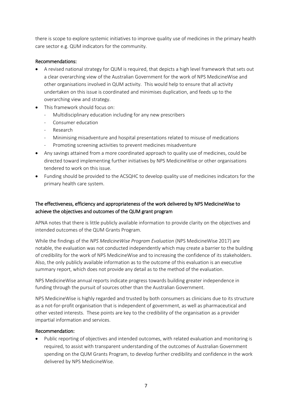there is scope to explore systemic initiatives to improve quality use of medicines in the primary health care sector e.g. QUM indicators for the community.

#### Recommendations:

- A revised national strategy for QUM is required, that depicts a high level framework that sets out a clear overarching view of the Australian Government for the work of NPS MedicineWise and other organisations involved in QUM activity. This would help to ensure that all activity undertaken on this issue is coordinated and minimises duplication, and feeds up to the overarching view and strategy.
- This framework should focus on:
	- Multidisciplinary education including for any new prescribers
	- Consumer education
	- Research
	- Minimising misadventure and hospital presentations related to misuse of medications
	- Promoting screening activities to prevent medicines misadventure
- Any savings attained from a more coordinated approach to quality use of medicines, could be directed toward implementing further initiatives by NPS MedicineWise or other organisations tendered to work on this issue.
- Funding should be provided to the ACSQHC to develop quality use of medicines indicators for the primary health care system.

#### The effectiveness, efficiency and appropriateness of the work delivered by NPS MedicineWise to achieve the objectives and outcomes of the QUM grant program

APNA notes that there is little publicly available information to provide clarity on the objectives and intended outcomes of the QUM Grants Program.

While the findings of the *NPS MedicineWise Program Evaluation* (NPS MedicineWise 2017) are notable, the evaluation was not conducted independently which may create a barrier to the building of credibility for the work of NPS MedicineWise and to increasing the confidence of its stakeholders. Also, the only publicly available information as to the outcome of this evaluation is an executive summary report, which does not provide any detail as to the method of the evaluation.

NPS MedicineWise annual reports indicate progress towards building greater independence in funding through the pursuit of sources other than the Australian Government.

NPS MedicineWise is highly regarded and trusted by both consumers as clinicians due to its structure as a not-for-profit organisation that is independent of government, as well as pharmaceutical and other vested interests. These points are key to the credibility of the organisation as a provider impartial information and services.

#### Recommendation:

 Public reporting of objectives and intended outcomes, with related evaluation and monitoring is required, to assist with transparent understanding of the outcomes of Australian Government spending on the QUM Grants Program, to develop further credibility and confidence in the work delivered by NPS MedicineWise.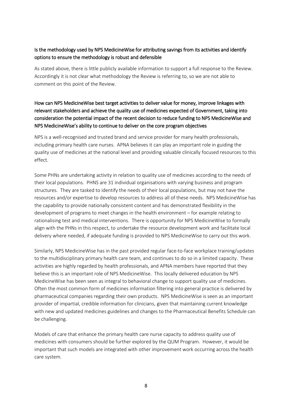#### Is the methodology used by NPS MedicineWise for attributing savings from its activities and identify options to ensure the methodology is robust and defensible

As stated above, there is little publicly available information to support a full response to the Review. Accordingly it is not clear what methodology the Review is referring to, so we are not able to comment on this point of the Review.

## How can NPS MedicineWise best target activities to deliver value for money, improve linkages with relevant stakeholders and achieve the quality use of medicines expected of Government, taking into consideration the potential impact of the recent decision to reduce funding to NPS MedicineWise and NPS MedicineWise's ability to continue to deliver on the core program objectives

NPS is a well-recognised and trusted brand and service provider for many health professionals, including primary health care nurses. APNA believes it can play an important role in guiding the quality use of medicines at the national level and providing valuable clinically focused resources to this effect.

Some PHNs are undertaking activity in relation to quality use of medicines according to the needs of their local populations. PHNS are 31 individual organisations with varying business and program structures. They are tasked to identify the needs of their local populations, but may not have the resources and/or expertise to develop resources to address all of these needs. NPS MedicineWise has the capability to provide nationally consistent content and has demonstrated flexibility in the development of programs to meet changes in the health environment – for example relating to rationalising test and medical interventions. There is opportunity for NPS MedicineWise to formally align with the PHNs in this respect, to undertake the resource development work and facilitate local delivery where needed, if adequate funding is provided to NPS MedicineWise to carry out this work.

Similarly, NPS MedicineWise has in the past provided regular face-to-face workplace training/updates to the multidisciplinary primary health care team, and continues to do so in a limited capacity. These activities are highly regarded by health professionals, and APNA members have reported that they believe this is an important role of NPS MedicineWise. This locally delivered education by NPS MedicineWise has been seen as integral to behavioral change to support quality use of medicines. Often the most common form of medicines information filtering into general practice is delivered by pharmaceutical companies regarding their own products. NPS MedicineWise is seen as an important provider of impartial, credible information for clinicians, given that maintaining current knowledge with new and updated medicines guidelines and changes to the Pharmaceutical Benefits Schedule can be challenging.

Models of care that enhance the primary health care nurse capacity to address quality use of medicines with consumers should be further explored by the QUM Program. However, it would be important that such models are integrated with other improvement work occurring across the health care system.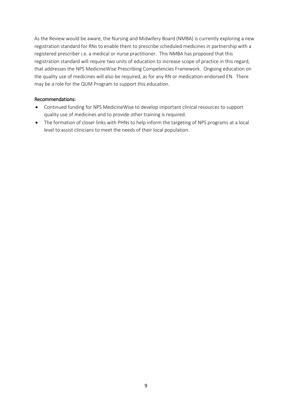As the Review would be aware, the Nursing and Midwifery Board (NMBA) is currently exploring a new registration standard for RNs to enable them to prescribe scheduled medicines in partnership with a registered prescriber i.e. a medical or nurse practitioner. This NMBA has proposed that this registration standard will require two units of education to increase scope of practice in this regard, that addresses the NPS MedicineWise Prescribing Competencies Framework. Ongoing education on the quality use of medicines will also be required, as for any RN or medication-endorsed EN. There may be a role for the QUM Program to support this education.

#### Recommendations:

- Continued funding for NPS MedicineWise to develop important clinical resources to support quality use of medicines and to provide other training is required.
- The formation of closer links with PHNs to help inform the targeting of NPS programs at a local level to assist clinicians to meet the needs of their local population.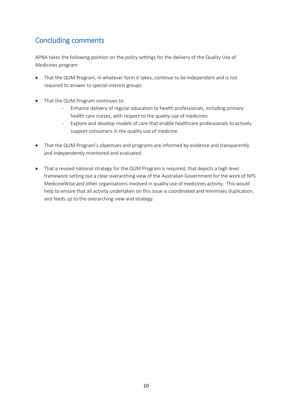## <span id="page-9-0"></span>Concluding comments

APNA takes the following position on the policy settings for the delivery of the Quality Use of Medicines program:

- That the QUM Program, in whatever form it takes, continue to be independent and is not required to answer to special interest groups.
- That the QUM Program continues to:
	- Enhance delivery of regular education to health professionals, including primary health care nurses, with respect to the quality use of medicines
	- Explore and develop models of care that enable healthcare professionals to actively support consumers in the quality use of medicine.
- That the QUM Program's objectives and programs are informed by evidence and transparently and independently monitored and evaluated.
- That a revised national strategy for the QUM Program is required, that depicts a high level framework setting out a clear overarching view of the Australian Government for the work of NPS MedicineWise and other organisations involved in quality use of medicines activity. This would help to ensure that all activity undertaken on this issue is coordinated and minimises duplication, and feeds up to the overarching view and strategy.